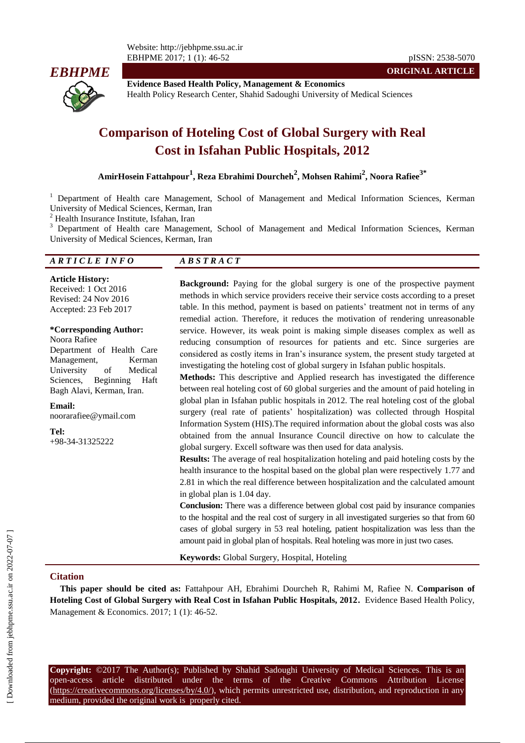

**Evidence Based Health Policy, Management & Economics** Health Policy Research Center, Shahid Sadoughi University of Medical Sciences

# **Comparison of Hoteling Cost of Global Surgery with Real Cost in Isfahan Public Hospitals, 2012**

**AmirHosein Fattahpour<sup>1</sup> , Reza Ebrahimi Dourcheh<sup>2</sup> , Mohsen Rahimi<sup>2</sup> , Noora Rafiee3\***

<sup>1</sup> Department of Health care Management, School of Management and Medical Information Sciences, Kerman University of Medical Sciences, Kerman, Iran

<sup>2</sup> Health Insurance Institute, Isfahan, Iran

<sup>3</sup> Department of Health care Management, School of Management and Medical Information Sciences, Kerman University of Medical Sciences, Kerman, Iran

#### *A R T I C L E I N F O A B S T R A C T*

**Article History:**

Received: 1 Oct 2016 Revised: 24 Nov 2016 Accepted: 23 Feb 2017

# **\*Corresponding Author:**

Noora Rafiee Department of Health Care Management, Kerman University of Medical Sciences, Beginning Haft Bagh Alavi, Kerman, Iran.

**Email:** noorarafiee@ymail.com

**Tel:** +98-34-31325222

**Background:** Paying for the global surgery is one of the prospective payment methods in which service providers receive their service costs according to a preset table. In this method, payment is based on patients' treatment not in terms of any remedial action. Therefore, it reduces the motivation of rendering unreasonable service. However, its weak point is making simple diseases complex as well as reducing consumption of resources for patients and etc. Since surgeries are considered as costly items in Iran's insurance system, the present study targeted at investigating the hoteling cost of global surgery in Isfahan public hospitals.

**ORIGINAL ARTICLE**

**Methods:** This descriptive and Applied research has investigated the difference between real hoteling cost of 60 global surgeries and the amount of paid hoteling in global plan in Isfahan public hospitals in 2012. The real hoteling cost of the global surgery (real rate of patients' hospitalization) was collected through Hospital Information System (HIS).The required information about the global costs was also obtained from the annual Insurance Council directive on how to calculate the global surgery. Excell software was then used for data analysis.

**Results:** The average of real hospitalization hoteling and paid hoteling costs by the health insurance to the hospital based on the global plan were respectively 1.77 and 2.81 in which the real difference between hospitalization and the calculated amount in global plan is 1.04 day.

**Conclusion:** There was a difference between global cost paid by insurance companies to the hospital and the real cost of surgery in all investigated surgeries so that from 60 cases of global surgery in 53 real hoteling, patient hospitalization was less than the amount paid in global plan of hospitals. Real hoteling was more in just two cases.

**Keywords:** Global Surgery, Hospital, Hoteling

#### **Citation**

**This paper should be cited as:** Fattahpour AH, Ebrahimi Dourcheh R, Rahimi M, Rafiee N. **Comparison of Hoteling Cost of Global Surgery with Real Cost in Isfahan Public Hospitals, 2012.** Evidence Based Health Policy, Management & Economics. 2017; 1 (1): 46-52.

**Copyright:** ©2017 The Author(s); Published by Shahid Sadoughi University of Medical Sciences. This is an open-access article distributed under the terms of the Creative Commons Attribution License (https://creativecommons.org/licenses/by/4.0/), which permits unrestricted use, distribution, and reproduction in any medium, provided the original work is properly cited.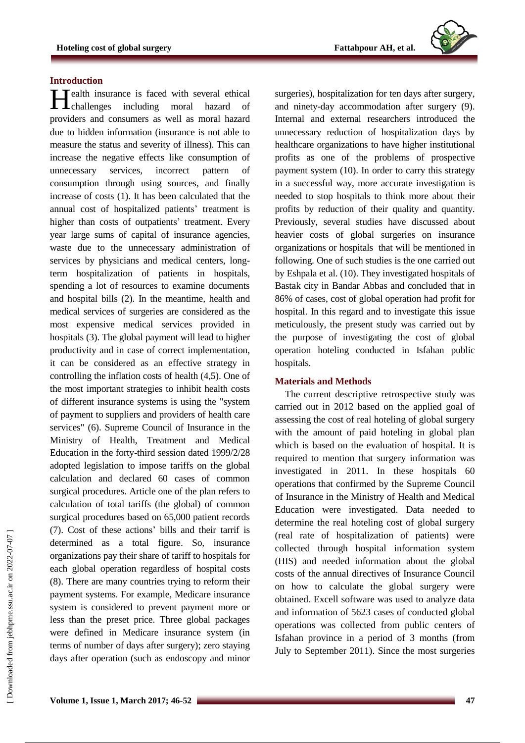

#### **Introduction**

Health insurance is faced with several ethical<br>challenges including moral hazard of **L**challenges including moral hazard providers and consumers as well as moral hazard due to hidden information (insurance is not able to measure the status and severity of illness). This can increase the negative effects like consumption of unnecessary services, incorrect pattern of consumption through using sources, and finally increase of costs (1). It has been calculated that the annual cost of hospitalized patients' treatment is higher than costs of outpatients' treatment. Every year large sums of capital of insurance agencies, waste due to the unnecessary administration of services by physicians and medical centers, longterm hospitalization of patients in hospitals, spending a lot of resources to examine documents and hospital bills (2). In the meantime, health and medical services of surgeries are considered as the most expensive medical services provided in hospitals (3). The global payment will lead to higher productivity and in case of correct implementation, it can be considered as an effective strategy in controlling the inflation costs of health (4,5). One of the most important strategies to inhibit health costs of different insurance systems is using the "system of payment to suppliers and providers of health care services" (6). Supreme Council of Insurance in the Ministry of Health, Treatment and Medical Education in the forty-third session dated 1999/2/28 adopted legislation to impose tariffs on the global calculation and declared 60 cases of common surgical procedures. Article one of the plan refers to calculation of total tariffs (the global) of common surgical procedures based on 65,000 patient records (7). Cost of these actions' bills and their tarrif is determined as a total figure. So, insurance organizations pay their share of tariff to hospitals for each global operation regardless of hospital costs (8). There are many countries trying to reform their payment systems. For example, Medicare insurance system is considered to prevent payment more or less than the preset price. Three global packages were defined in Medicare insurance system (in terms of number of days after surgery); zero staying days after operation (such as endoscopy and minor

surgeries), hospitalization for ten days after surgery, and ninety-day accommodation after surgery (9). Internal and external researchers introduced the unnecessary reduction of hospitalization days by healthcare organizations to have higher institutional profits as one of the problems of prospective payment system (10). In order to carry this strategy in a successful way, more accurate investigation is needed to stop hospitals to think more about their profits by reduction of their quality and quantity. Previously, several studies have discussed about heavier costs of global surgeries on insurance organizations or hospitals that will be mentioned in following. One of such studies is the one carried out by Eshpala et al. (10). They investigated hospitals of Bastak city in Bandar Abbas and concluded that in 86% of cases, cost of global operation had profit for hospital. In this regard and to investigate this issue meticulously, the present study was carried out by the purpose of investigating the cost of global operation hoteling conducted in Isfahan public hospitals.

## **Materials and Methods**

The current descriptive retrospective study was carried out in 2012 based on the applied goal of assessing the cost of real hoteling of global surgery with the amount of paid hoteling in global plan which is based on the evaluation of hospital. It is required to mention that surgery information was investigated in 2011. In these hospitals 60 operations that confirmed by the Supreme Council of Insurance in the Ministry of Health and Medical Education were investigated. Data needed to determine the real hoteling cost of global surgery (real rate of hospitalization of patients) were collected through hospital information system (HIS) and needed information about the global costs of the annual directives of Insurance Council on how to calculate the global surgery were obtained. Excell software was used to analyze data and information of 5623 cases of conducted global operations was collected from public centers of Isfahan province in a period of 3 months (from July to September 2011). Since the most surgeries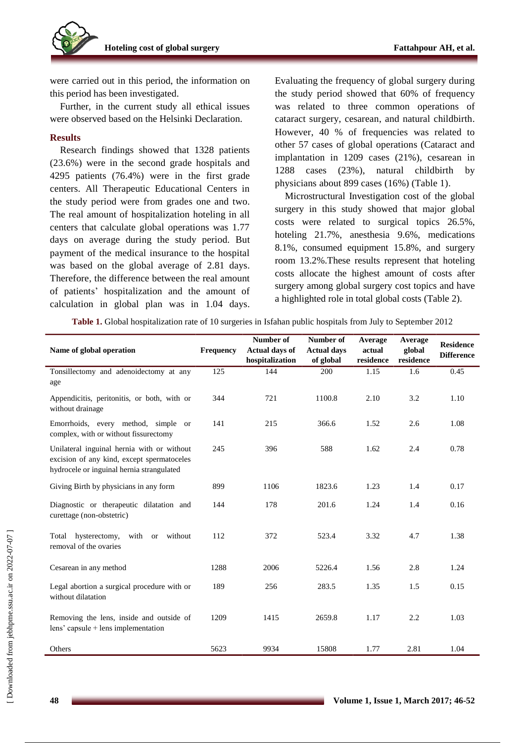

were carried out in this period, the information on this period has been investigated.

Further, in the current study all ethical issues were observed based on the Helsinki Declaration.

#### **Results**

Research findings showed that 1328 patients (23.6%) were in the second grade hospitals and 4295 patients (76.4%) were in the first grade centers. All Therapeutic Educational Centers in the study period were from grades one and two. The real amount of hospitalization hoteling in all centers that calculate global operations was 1.77 days on average during the study period. But payment of the medical insurance to the hospital was based on the global average of 2.81 days. Therefore, the difference between the real amount of patients' hospitalization and the amount of calculation in global plan was in 1.04 days. Evaluating the frequency of global surgery during the study period showed that 60% of frequency was related to three common operations of cataract surgery, cesarean, and natural childbirth. However, 40 % of frequencies was related to other 57 cases of global operations (Cataract and implantation in 1209 cases (21%), cesarean in 1288 cases (23%), natural childbirth by physicians about 899 cases (16%) (Table 1).

Microstructural Investigation cost of the global surgery in this study showed that major global costs were related to surgical topics 26.5%, hoteling 21.7%, anesthesia 9.6%, medications 8.1%, consumed equipment 15.8%, and surgery room 13.2%.These results represent that hoteling costs allocate the highest amount of costs after surgery among global surgery cost topics and have a highlighted role in total global costs (Table 2).

**Table 1.** Global hospitalization rate of 10 surgeries in Isfahan public hospitals from July to September 2012

| Name of global operation                                                                                                              | Frequency | Number of<br><b>Actual days of</b><br>hospitalization | Number of<br><b>Actual days</b><br>of global | Average<br>actual<br>residence | Average<br>global<br>residence | <b>Residence</b><br><b>Difference</b> |
|---------------------------------------------------------------------------------------------------------------------------------------|-----------|-------------------------------------------------------|----------------------------------------------|--------------------------------|--------------------------------|---------------------------------------|
| Tonsillectomy and adenoidectomy at any<br>age                                                                                         | 125       | 144                                                   | 200                                          | 1.15                           | 1.6                            | 0.45                                  |
| Appendicitis, peritonitis, or both, with or<br>without drainage                                                                       | 344       | 721                                                   | 1100.8                                       | 2.10                           | 3.2                            | 1.10                                  |
| Emorrhoids, every method, simple or<br>complex, with or without fissurectomy                                                          | 141       | 215                                                   | 366.6                                        | 1.52                           | 2.6                            | 1.08                                  |
| Unilateral inguinal hernia with or without<br>excision of any kind, except spermatoceles<br>hydrocele or inguinal hernia strangulated | 245       | 396                                                   | 588                                          | 1.62                           | 2.4                            | 0.78                                  |
| Giving Birth by physicians in any form                                                                                                | 899       | 1106                                                  | 1823.6                                       | 1.23                           | 1.4                            | 0.17                                  |
| Diagnostic or therapeutic dilatation and<br>curettage (non-obstetric)                                                                 | 144       | 178                                                   | 201.6                                        | 1.24                           | 1.4                            | 0.16                                  |
| hysterectomy,<br>with or<br>without<br>Total<br>removal of the ovaries                                                                | 112       | 372                                                   | 523.4                                        | 3.32                           | 4.7                            | 1.38                                  |
| Cesarean in any method                                                                                                                | 1288      | 2006                                                  | 5226.4                                       | 1.56                           | 2.8                            | 1.24                                  |
| Legal abortion a surgical procedure with or<br>without dilatation                                                                     | 189       | 256                                                   | 283.5                                        | 1.35                           | 1.5                            | 0.15                                  |
| Removing the lens, inside and outside of<br>$lens' capsule + lens implementation$                                                     | 1209      | 1415                                                  | 2659.8                                       | 1.17                           | 2.2                            | 1.03                                  |
| Others                                                                                                                                | 5623      | 9934                                                  | 15808                                        | 1.77                           | 2.81                           | 1.04                                  |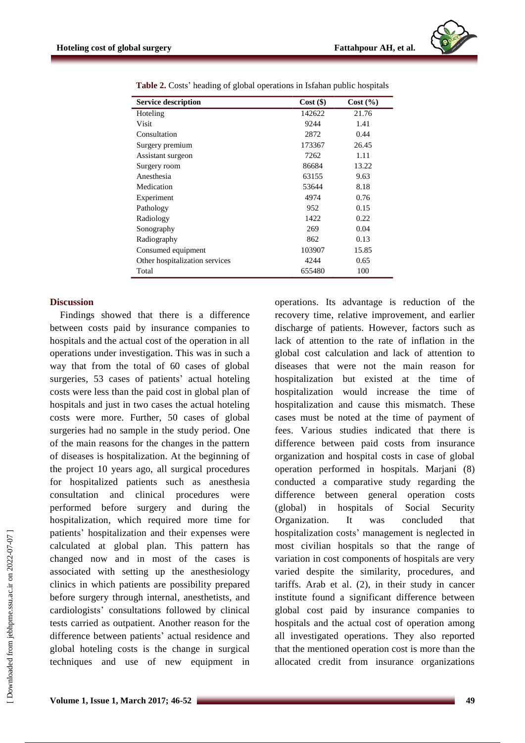| <b>Service description</b>     | $Cost($ \$) | Cost(%) |
|--------------------------------|-------------|---------|
| Hoteling                       | 142622      | 21.76   |
| Visit                          | 9244        | 1.41    |
| Consultation                   | 2872        | 0.44    |
| Surgery premium                | 173367      | 26.45   |
| Assistant surgeon              | 7262        | 1.11    |
| Surgery room                   | 86684       | 13.22   |
| Anesthesia                     | 63155       | 9.63    |
| Medication                     | 53644       | 8.18    |
| Experiment                     | 4974        | 0.76    |
| Pathology                      | 952         | 0.15    |
| Radiology                      | 1422        | 0.22    |
| Sonography                     | 269         | 0.04    |
| Radiography                    | 862         | 0.13    |
| Consumed equipment             | 103907      | 15.85   |
| Other hospitalization services | 4244        | 0.65    |
| Total                          | 655480      | 100     |

**Table 2.** Costs' heading of global operations in Isfahan public hospitals

#### **Discussion**

Findings showed that there is a difference between costs paid by insurance companies to hospitals and the actual cost of the operation in all operations under investigation. This was in such a way that from the total of 60 cases of global surgeries, 53 cases of patients' actual hoteling costs were less than the paid cost in global plan of hospitals and just in two cases the actual hoteling costs were more. Further, 50 cases of global surgeries had no sample in the study period. One of the main reasons for the changes in the pattern of diseases is hospitalization. At the beginning of the project 10 years ago, all surgical procedures for hospitalized patients such as anesthesia consultation and clinical procedures were performed before surgery and during the hospitalization, which required more time for patients' hospitalization and their expenses were calculated at global plan. This pattern has changed now and in most of the cases is associated with setting up the anesthesiology clinics in which patients are possibility prepared before surgery through internal, anesthetists, and cardiologists' consultations followed by clinical tests carried as outpatient. Another reason for the difference between patients' actual residence and global hoteling costs is the change in surgical techniques and use of new equipment in operations. Its advantage is reduction of the recovery time, relative improvement, and earlier discharge of patients. However, factors such as lack of attention to the rate of inflation in the global cost calculation and lack of attention to diseases that were not the main reason for hospitalization but existed at the time of hospitalization would increase the time of hospitalization and cause this mismatch. These cases must be noted at the time of payment of fees. Various studies indicated that there is difference between paid costs from insurance organization and hospital costs in case of global operation performed in hospitals. Marjani (8) conducted a comparative study regarding the difference between general operation costs (global) in hospitals of Social Security Organization. It was concluded that hospitalization costs' management is neglected in most civilian hospitals so that the range of variation in cost components of hospitals are very varied despite the similarity, procedures, and tariffs. Arab et al. (2), in their study in cancer institute found a significant difference between global cost paid by insurance companies to hospitals and the actual cost of operation among all investigated operations. They also reported that the mentioned operation cost is more than the allocated credit from insurance organizations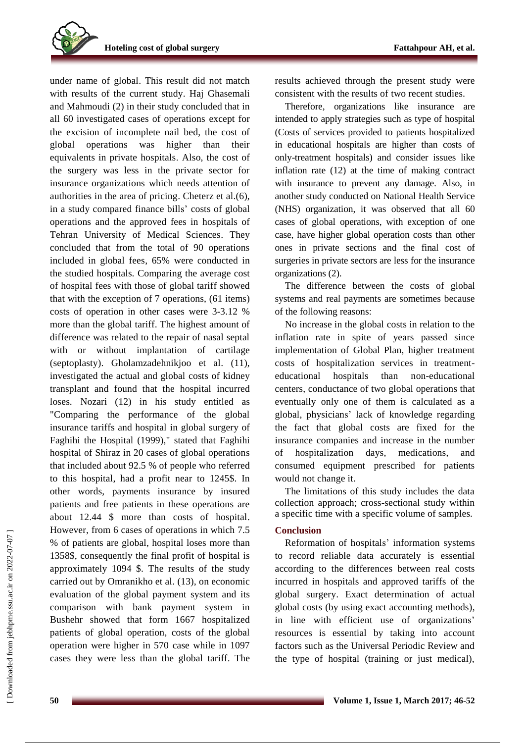

under name of global. This result did not match with results of the current study. Haj Ghasemali and Mahmoudi (2) in their study concluded that in all 60 investigated cases of operations except for the excision of incomplete nail bed, the cost of global operations was higher than their equivalents in private hospitals. Also, the cost of the surgery was less in the private sector for insurance organizations which needs attention of authorities in the area of pricing. Cheterz et al.(6), in a study compared finance bills' costs of global operations and the approved fees in hospitals of Tehran University of Medical Sciences. They concluded that from the total of 90 operations included in global fees, 65% were conducted in the studied hospitals. Comparing the average cost of hospital fees with those of global tariff showed that with the exception of 7 operations, (61 items) costs of operation in other cases were 3-3.12 % more than the global tariff. The highest amount of difference was related to the repair of nasal septal with or without implantation of cartilage (septoplasty). Gholamzadehnikjoo et al. (11), investigated the actual and global costs of kidney transplant and found that the hospital incurred loses. Nozari (12) in his study entitled as "Comparing the performance of the global insurance tariffs and hospital in global surgery of Faghihi the Hospital (1999)," stated that Faghihi hospital of Shiraz in 20 cases of global operations that included about 92.5 % of people who referred to this hospital, had a profit near to 1245\$. In other words, payments insurance by insured patients and free patients in these operations are about 12.44 \$ more than costs of hospital. However, from 6 cases of operations in which 7.5 % of patients are global, hospital loses more than 1358\$, consequently the final profit of hospital is approximately 1094 \$. The results of the study carried out by Omranikho et al. (13), on economic evaluation of the global payment system and its comparison with bank payment system in Bushehr showed that form 1667 hospitalized patients of global operation, costs of the global operation were higher in 570 case while in 1097 cases they were less than the global tariff. The

results achieved through the present study were consistent with the results of two recent studies.

Therefore, organizations like insurance are intended to apply strategies such as type of hospital (Costs of services provided to patients hospitalized in educational hospitals are higher than costs of only-treatment hospitals) and consider issues like inflation rate (12) at the time of making contract with insurance to prevent any damage. Also, in another study conducted on National Health Service (NHS) organization, it was observed that all 60 cases of global operations, with exception of one case, have higher global operation costs than other ones in private sections and the final cost of surgeries in private sectors are less for the insurance organizations (2).

The difference between the costs of global systems and real payments are sometimes because of the following reasons:

No increase in the global costs in relation to the inflation rate in spite of years passed since implementation of Global Plan, higher treatment costs of hospitalization services in treatmenteducational hospitals than non-educational centers, conductance of two global operations that eventually only one of them is calculated as a global, physicians' lack of knowledge regarding the fact that global costs are fixed for the insurance companies and increase in the number of hospitalization days, medications, and consumed equipment prescribed for patients would not change it.

The limitations of this study includes the data collection approach; cross-sectional study within a specific time with a specific volume of samples.

## **Conclusion**

Reformation of hospitals' information systems to record reliable data accurately is essential according to the differences between real costs incurred in hospitals and approved tariffs of the global surgery. Exact determination of actual global costs (by using exact accounting methods), in line with efficient use of organizations' resources is essential by taking into account factors such as the Universal Periodic Review and the type of hospital (training or just medical),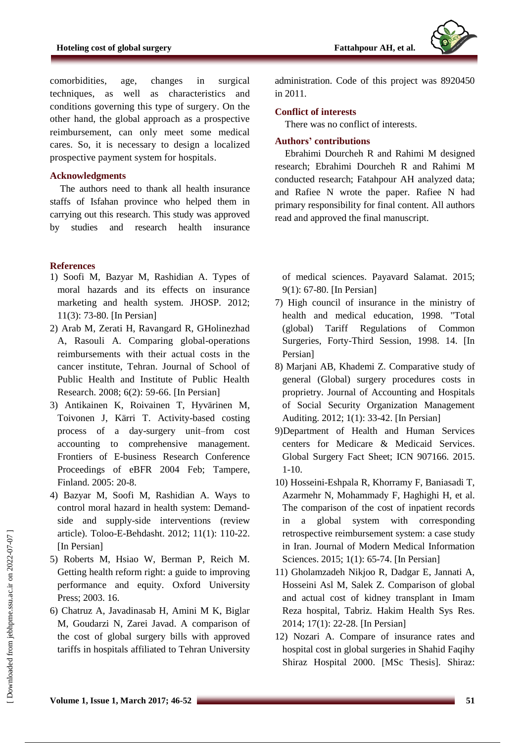

comorbidities, age, changes in surgical techniques, as well as characteristics and conditions governing this type of surgery. On the other hand, the global approach as a prospective reimbursement, can only meet some medical cares. So, it is necessary to design a localized prospective payment system for hospitals.

## **Acknowledgments**

The authors need to thank all health insurance staffs of Isfahan province who helped them in carrying out this research. This study was approved by studies and research health insurance

#### **References**

- 1) Soofi M, Bazyar M, Rashidian A. Types of moral hazards and its effects on insurance marketing and health system. JHOSP. 2012; 11(3): 73-80. [In Persian]
- 2) Arab M, Zerati H, Ravangard R, GHolinezhad A, Rasouli A. Comparing global-operations reimbursements with their actual costs in the cancer institute, Tehran. Journal of School of Public Health and Institute of Public Health Research. 2008; 6(2): 59-66. [In Persian]
- 3) Antikainen K, Roivainen T, Hyvärinen M, Toivonen J, Kärri T. Activity-based costing process of a day-surgery unit–from cost accounting to comprehensive management. Frontiers of E-business Research Conference Proceedings of eBFR 2004 Feb; Tampere, Finland. 2005: 20-8.
- 4) Bazyar M, Soofi M, Rashidian A. Ways to control moral hazard in health system: Demandside and supply-side interventions (review article). Toloo-E-Behdasht. 2012; 11(1): 110-22. [In Persian]
- 5) Roberts M, Hsiao W, Berman P, Reich M. Getting health reform right: a guide to improving performance and equity. Oxford University Press; 2003. 16.
- 6) Chatruz A, Javadinasab H, Amini M K, Biglar M, Goudarzi N, Zarei Javad. A comparison of the cost of global surgery bills with approved tariffs in hospitals affiliated to Tehran University

administration. Code of this project was 8920450 in 2011.

#### **Conflict of interests**

There was no conflict of interests.

## **Authors' contributions**

Ebrahimi Dourcheh R and Rahimi M designed research; Ebrahimi Dourcheh R and Rahimi M conducted research; Fatahpour AH analyzed data; and Rafiee N wrote the paper. Rafiee N had primary responsibility for final content. All authors read and approved the final manuscript.

of medical sciences. Payavard Salamat. 2015; 9(1): 67-80. [In Persian]

- 7) High council of insurance in the ministry of health and medical education, 1998. "Total (global) Tariff Regulations of Common Surgeries, Forty-Third Session, 1998. 14. [In Persian]
- 8) Marjani AB, Khademi Z. Comparative study of general (Global) surgery procedures costs in proprietry. Journal of Accounting and Hospitals of Social Security Organization Management Auditing. [2012; 1\(1\)](http://en.journals.sid.ir/JournalListPaper.aspx?ID=147090): 33-42. [In Persian]
- 9)Department of Health and Human Services centers for Medicare & Medicaid Services. Global Surgery Fact Sheet; ICN 907166. 2015. 1-10.
- 10) Hosseini-Eshpala R, Khorramy F, Baniasadi T, Azarmehr N, Mohammady F, Haghighi H, et al. The comparison of the cost of inpatient records in a global system with corresponding retrospective reimbursement system: a case study in Iran. Journal of Modern Medical Information Sciences. 2015; 1(1): 65-74. [In Persian]
- 11) Gholamzadeh Nikjoo R, Dadgar E, Jannati A, Hosseini Asl M, Salek Z. Comparison of global and actual cost of kidney transplant in Imam Reza hospital, Tabriz. Hakim Health Sys Res. 2014; 17(1): 22-28. [In Persian]
- 12) Nozari A. Compare of insurance rates and hospital cost in global surgeries in Shahid Faqihy Shiraz Hospital 2000. [MSc Thesis]. Shiraz: